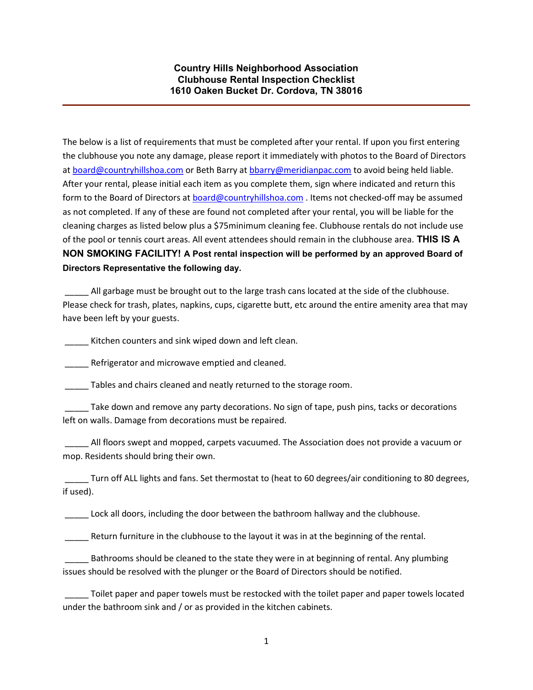## Country Hills Neighborhood Association Clubhouse Rental Inspection Checklist 1610 Oaken Bucket Dr. Cordova, TN 38016

The below is a list of requirements that must be completed after your rental. If upon you first entering the clubhouse you note any damage, please report it immediately with photos to the Board of Directors at board@countryhillshoa.com or Beth Barry at bbarry@meridianpac.com to avoid being held liable. After your rental, please initial each item as you complete them, sign where indicated and return this form to the Board of Directors at board@countryhillshoa.com . Items not checked-off may be assumed as not completed. If any of these are found not completed after your rental, you will be liable for the cleaning charges as listed below plus a \$75minimum cleaning fee. Clubhouse rentals do not include use of the pool or tennis court areas. All event attendees should remain in the clubhouse area. THIS IS A NON SMOKING FACILITY! A Post rental inspection will be performed by an approved Board of Directors Representative the following day.

All garbage must be brought out to the large trash cans located at the side of the clubhouse. Please check for trash, plates, napkins, cups, cigarette butt, etc around the entire amenity area that may have been left by your guests.

\_\_\_\_\_ Kitchen counters and sink wiped down and left clean.

Refrigerator and microwave emptied and cleaned.

Tables and chairs cleaned and neatly returned to the storage room.

 \_\_\_\_\_ Take down and remove any party decorations. No sign of tape, push pins, tacks or decorations left on walls. Damage from decorations must be repaired.

 \_\_\_\_\_ All floors swept and mopped, carpets vacuumed. The Association does not provide a vacuum or mop. Residents should bring their own.

Turn off ALL lights and fans. Set thermostat to (heat to 60 degrees/air conditioning to 80 degrees, if used).

Lock all doors, including the door between the bathroom hallway and the clubhouse.

\_\_\_\_\_ Return furniture in the clubhouse to the layout it was in at the beginning of the rental.

Bathrooms should be cleaned to the state they were in at beginning of rental. Any plumbing issues should be resolved with the plunger or the Board of Directors should be notified.

Toilet paper and paper towels must be restocked with the toilet paper and paper towels located under the bathroom sink and / or as provided in the kitchen cabinets.